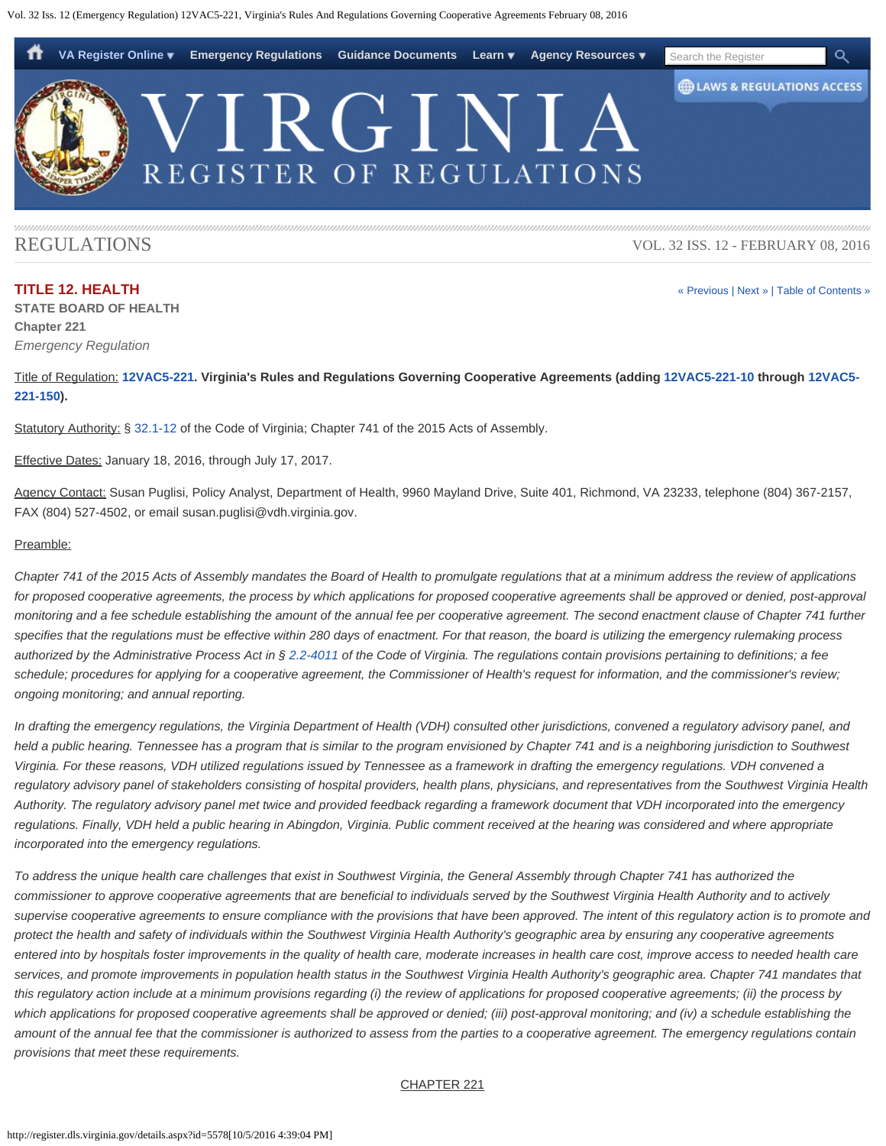<span id="page-0-0"></span>

# REGULATIONS

**TITLE 12. HEALTH**

**STATE BOARD OF HEALTH Chapter 221** *Emergency Regulation*

VOL. 32 ISS. 12 - FEBRUARY 08, 2016

[« Previous](http://register.dls.virginia.gov/details.aspx?id=5577) | [Next »](http://register.dls.virginia.gov/details.aspx?id=5583) | [Table of Contents »](http://register.dls.virginia.gov/toc.aspx?voliss=32:12)

Title of Regulation: **[12VAC5-221](http://law.lis.virginia.gov/admincode/title12/agency5/chapter221/). Virginia's Rules and Regulations Governing Cooperative Agreements (adding [12VAC5-221-10](http://law.lis.virginia.gov/admincode/title12/agency5/chapter221/section10/) through [12VAC5-](http://law.lis.virginia.gov/admincode/title12/agency5/chapter221/section150/) [221-150](http://law.lis.virginia.gov/admincode/title12/agency5/chapter221/section150/)).**

Statutory Authority: § [32.1-12](http://law.lis.virginia.gov/vacode/32.1-12/) of the Code of Virginia; Chapter 741 of the 2015 Acts of Assembly.

Effective Dates: January 18, 2016, through July 17, 2017.

Agency Contact: Susan Puglisi, Policy Analyst, Department of Health, 9960 Mayland Drive, Suite 401, Richmond, VA 23233, telephone (804) 367-2157, FAX (804) 527-4502, or email susan.puglisi@vdh.virginia.gov.

#### Preamble:

*Chapter 741 of the 2015 Acts of Assembly mandates the Board of Health to promulgate regulations that at a minimum address the review of applications for proposed cooperative agreements, the process by which applications for proposed cooperative agreements shall be approved or denied, post-approval monitoring and a fee schedule establishing the amount of the annual fee per cooperative agreement. The second enactment clause of Chapter 741 further specifies that the regulations must be effective within 280 days of enactment. For that reason, the board is utilizing the emergency rulemaking process authorized by the Administrative Process Act in § [2.2-4011](http://law.lis.virginia.gov/vacode/2.2-4011/) of the Code of Virginia. The regulations contain provisions pertaining to definitions; a fee schedule; procedures for applying for a cooperative agreement, the Commissioner of Health's request for information, and the commissioner's review; ongoing monitoring; and annual reporting.*

*In drafting the emergency regulations, the Virginia Department of Health (VDH) consulted other jurisdictions, convened a regulatory advisory panel, and held a public hearing. Tennessee has a program that is similar to the program envisioned by Chapter 741 and is a neighboring jurisdiction to Southwest Virginia. For these reasons, VDH utilized regulations issued by Tennessee as a framework in drafting the emergency regulations. VDH convened a regulatory advisory panel of stakeholders consisting of hospital providers, health plans, physicians, and representatives from the Southwest Virginia Health Authority. The regulatory advisory panel met twice and provided feedback regarding a framework document that VDH incorporated into the emergency regulations. Finally, VDH held a public hearing in Abingdon, Virginia. Public comment received at the hearing was considered and where appropriate incorporated into the emergency regulations.*

*To address the unique health care challenges that exist in Southwest Virginia, the General Assembly through Chapter 741 has authorized the commissioner to approve cooperative agreements that are beneficial to individuals served by the Southwest Virginia Health Authority and to actively supervise cooperative agreements to ensure compliance with the provisions that have been approved. The intent of this regulatory action is to promote and protect the health and safety of individuals within the Southwest Virginia Health Authority's geographic area by ensuring any cooperative agreements entered into by hospitals foster improvements in the quality of health care, moderate increases in health care cost, improve access to needed health care services, and promote improvements in population health status in the Southwest Virginia Health Authority's geographic area. Chapter 741 mandates that this regulatory action include at a minimum provisions regarding (i) the review of applications for proposed cooperative agreements; (ii) the process by which applications for proposed cooperative agreements shall be approved or denied; (iii) post-approval monitoring; and (iv) a schedule establishing the amount of the annual fee that the commissioner is authorized to assess from the parties to a cooperative agreement. The emergency regulations contain provisions that meet these requirements.*

#### CHAPTER 221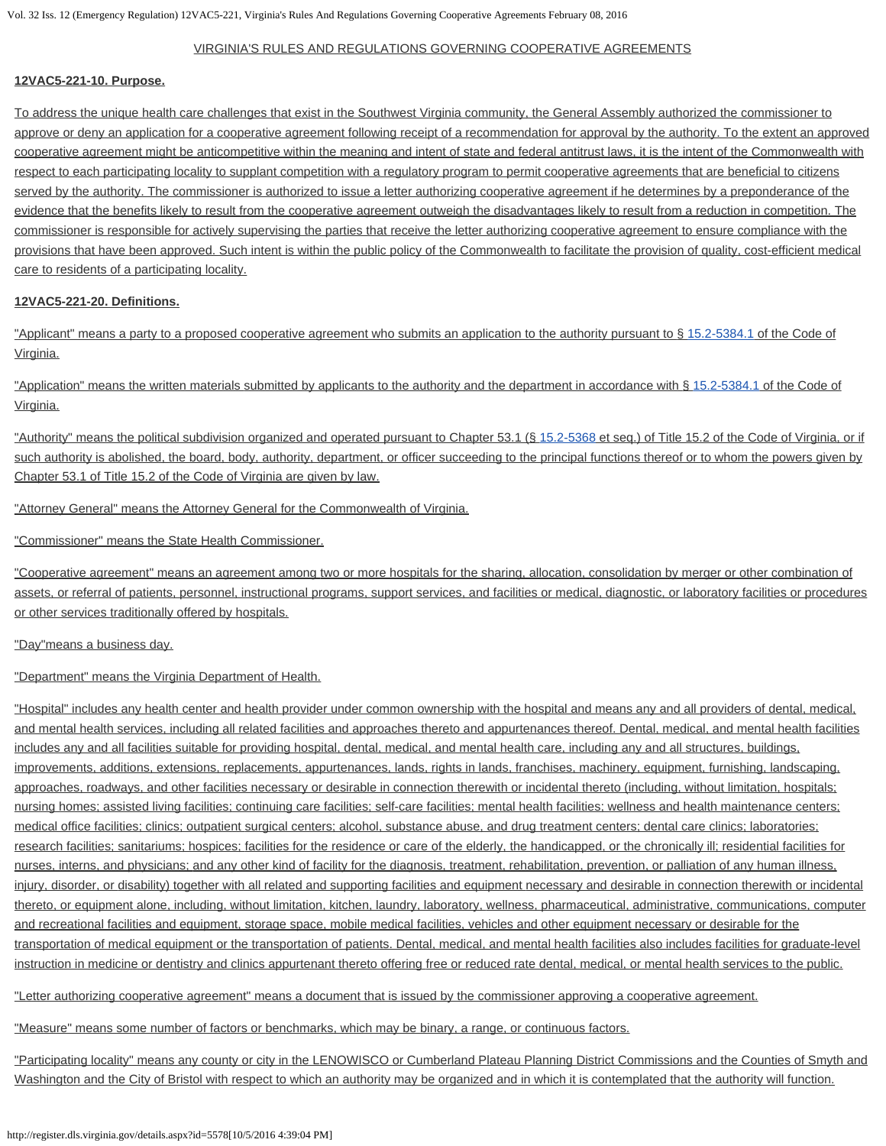## VIRGINIA'S RULES AND REGULATIONS GOVERNING COOPERATIVE AGREEMENTS

#### **12VAC5-221-10. Purpose.**

To address the unique health care challenges that exist in the Southwest Virginia community, the General Assembly authorized the commissioner to approve or deny an application for a cooperative agreement following receipt of a recommendation for approval by the authority. To the extent an approved cooperative agreement might be anticompetitive within the meaning and intent of state and federal antitrust laws, it is the intent of the Commonwealth with respect to each participating locality to supplant competition with a regulatory program to permit cooperative agreements that are beneficial to citizens served by the authority. The commissioner is authorized to issue a letter authorizing cooperative agreement if he determines by a preponderance of the evidence that the benefits likely to result from the cooperative agreement outweigh the disadvantages likely to result from a reduction in competition. The commissioner is responsible for actively supervising the parties that receive the letter authorizing cooperative agreement to ensure compliance with the provisions that have been approved. Such intent is within the public policy of the Commonwealth to facilitate the provision of quality, cost-efficient medical care to residents of a participating locality.

#### **12VAC5-221-20. Definitions.**

"Applicant" means a party to a proposed cooperative agreement who submits an application to the authority pursuant to § [15.2-5384.1](http://law.lis.virginia.gov/vacode/15.2-5384.1/) of the Code of Virginia.

"Application" means the written materials submitted by applicants to the authority and the department in accordance with § [15.2-5384.1](http://law.lis.virginia.gov/vacode/15.2-5384.1/) of the Code of Virginia.

"Authority" means the political subdivision organized and operated pursuant to Chapter 53.1 (§ [15.2-5368](http://law.lis.virginia.gov/vacode/15.2-5368/) et seq.) of Title 15.2 of the Code of Virginia, or if such authority is abolished, the board, body, authority, department, or officer succeeding to the principal functions thereof or to whom the powers given by Chapter 53.1 of Title 15.2 of the Code of Virginia are given by law.

"Attorney General" means the Attorney General for the Commonwealth of Virginia.

"Commissioner" means the State Health Commissioner.

"Cooperative agreement" means an agreement among two or more hospitals for the sharing, allocation, consolidation by merger or other combination of assets, or referral of patients, personnel, instructional programs, support services, and facilities or medical, diagnostic, or laboratory facilities or procedures or other services traditionally offered by hospitals.

"Day"means a business day.

"Department" means the Virginia Department of Health.

"Hospital" includes any health center and health provider under common ownership with the hospital and means any and all providers of dental, medical, and mental health services, including all related facilities and approaches thereto and appurtenances thereof. Dental, medical, and mental health facilities includes any and all facilities suitable for providing hospital, dental, medical, and mental health care, including any and all structures, buildings, improvements, additions, extensions, replacements, appurtenances, lands, rights in lands, franchises, machinery, equipment, furnishing, landscaping, approaches, roadways, and other facilities necessary or desirable in connection therewith or incidental thereto (including, without limitation, hospitals; nursing homes; assisted living facilities; continuing care facilities; self-care facilities; mental health facilities; wellness and health maintenance centers; medical office facilities; clinics; outpatient surgical centers; alcohol, substance abuse, and drug treatment centers; dental care clinics; laboratories; research facilities; sanitariums; hospices; facilities for the residence or care of the elderly, the handicapped, or the chronically ill; residential facilities for nurses, interns, and physicians; and any other kind of facility for the diagnosis, treatment, rehabilitation, prevention, or palliation of any human illness, injury, disorder, or disability) together with all related and supporting facilities and equipment necessary and desirable in connection therewith or incidental thereto, or equipment alone, including, without limitation, kitchen, laundry, laboratory, wellness, pharmaceutical, administrative, communications, computer and recreational facilities and equipment, storage space, mobile medical facilities, vehicles and other equipment necessary or desirable for the transportation of medical equipment or the transportation of patients. Dental, medical, and mental health facilities also includes facilities for graduate-level instruction in medicine or dentistry and clinics appurtenant thereto offering free or reduced rate dental, medical, or mental health services to the public.

"Letter authorizing cooperative agreement" means a document that is issued by the commissioner approving a cooperative agreement.

"Measure" means some number of factors or benchmarks, which may be binary, a range, or continuous factors.

"Participating locality" means any county or city in the LENOWISCO or Cumberland Plateau Planning District Commissions and the Counties of Smyth and Washington and the City of Bristol with respect to which an authority may be organized and in which it is contemplated that the authority will function.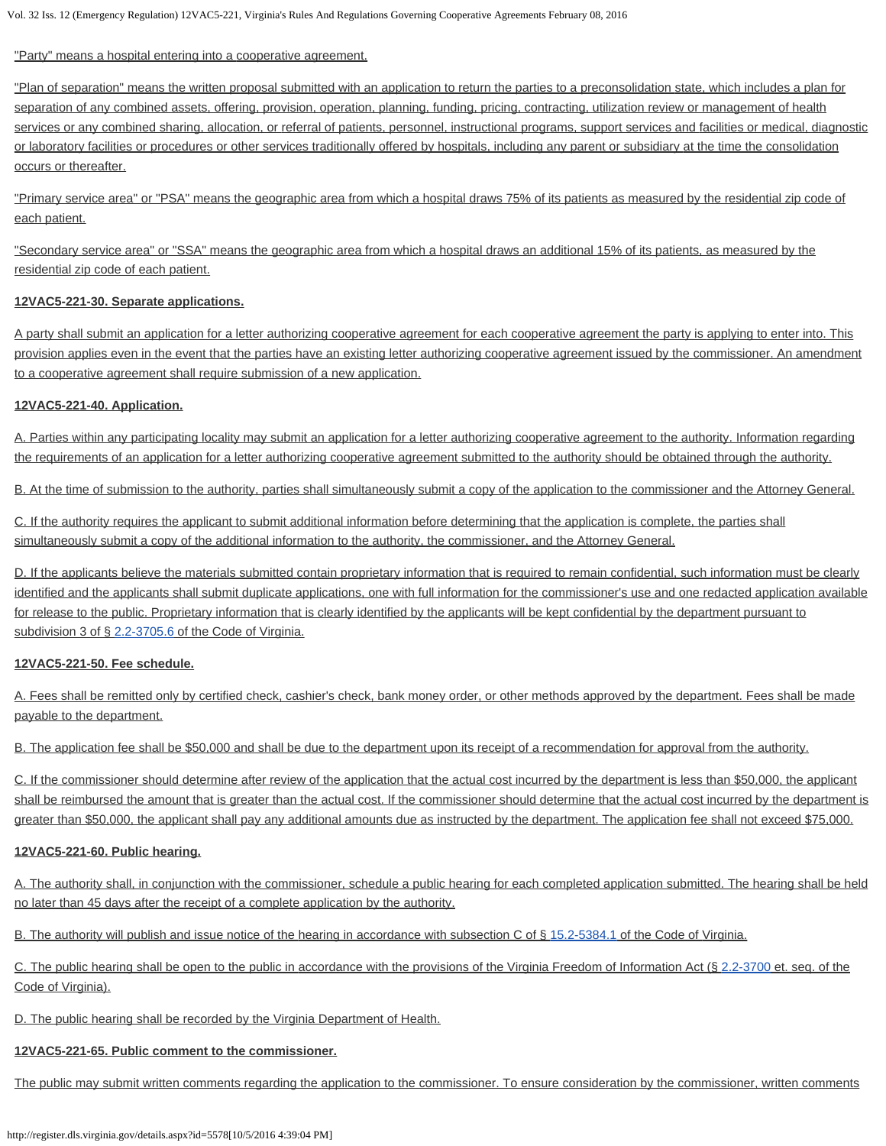#### "Party" means a hospital entering into a cooperative agreement.

"Plan of separation" means the written proposal submitted with an application to return the parties to a preconsolidation state, which includes a plan for separation of any combined assets, offering, provision, operation, planning, funding, pricing, contracting, utilization review or management of health services or any combined sharing, allocation, or referral of patients, personnel, instructional programs, support services and facilities or medical, diagnostic or laboratory facilities or procedures or other services traditionally offered by hospitals, including any parent or subsidiary at the time the consolidation occurs or thereafter.

"Primary service area" or "PSA" means the geographic area from which a hospital draws 75% of its patients as measured by the residential zip code of each patient.

"Secondary service area" or "SSA" means the geographic area from which a hospital draws an additional 15% of its patients, as measured by the residential zip code of each patient.

## **12VAC5-221-30. Separate applications.**

A party shall submit an application for a letter authorizing cooperative agreement for each cooperative agreement the party is applying to enter into. This provision applies even in the event that the parties have an existing letter authorizing cooperative agreement issued by the commissioner. An amendment to a cooperative agreement shall require submission of a new application.

#### **12VAC5-221-40. Application.**

A. Parties within any participating locality may submit an application for a letter authorizing cooperative agreement to the authority. Information regarding the requirements of an application for a letter authorizing cooperative agreement submitted to the authority should be obtained through the authority.

B. At the time of submission to the authority, parties shall simultaneously submit a copy of the application to the commissioner and the Attorney General.

C. If the authority requires the applicant to submit additional information before determining that the application is complete, the parties shall simultaneously submit a copy of the additional information to the authority, the commissioner, and the Attorney General.

D. If the applicants believe the materials submitted contain proprietary information that is required to remain confidential, such information must be clearly identified and the applicants shall submit duplicate applications, one with full information for the commissioner's use and one redacted application available for release to the public. Proprietary information that is clearly identified by the applicants will be kept confidential by the department pursuant to subdivision 3 of § [2.2-3705.6](http://law.lis.virginia.gov/vacode/2.2-3705.6/) of the Code of Virginia.

#### **12VAC5-221-50. Fee schedule.**

A. Fees shall be remitted only by certified check, cashier's check, bank money order, or other methods approved by the department. Fees shall be made payable to the department.

B. The application fee shall be \$50,000 and shall be due to the department upon its receipt of a recommendation for approval from the authority.

C. If the commissioner should determine after review of the application that the actual cost incurred by the department is less than \$50,000, the applicant shall be reimbursed the amount that is greater than the actual cost. If the commissioner should determine that the actual cost incurred by the department is greater than \$50,000, the applicant shall pay any additional amounts due as instructed by the department. The application fee shall not exceed \$75,000.

#### **12VAC5-221-60. Public hearing.**

A. The authority shall, in conjunction with the commissioner, schedule a public hearing for each completed application submitted. The hearing shall be held no later than 45 days after the receipt of a complete application by the authority.

B. The authority will publish and issue notice of the hearing in accordance with subsection C of § [15.2-5384.1](http://law.lis.virginia.gov/vacode/15.2-5384.1/) of the Code of Virginia.

C. The public hearing shall be open to the public in accordance with the provisions of the Virginia Freedom of Information Act (§ [2.2-3700](http://law.lis.virginia.gov/vacode/2.2-3700/) et. seq. of the Code of Virginia).

D. The public hearing shall be recorded by the Virginia Department of Health.

# **12VAC5-221-65. Public comment to the commissioner.**

The public may submit written comments regarding the application to the commissioner. To ensure consideration by the commissioner, written comments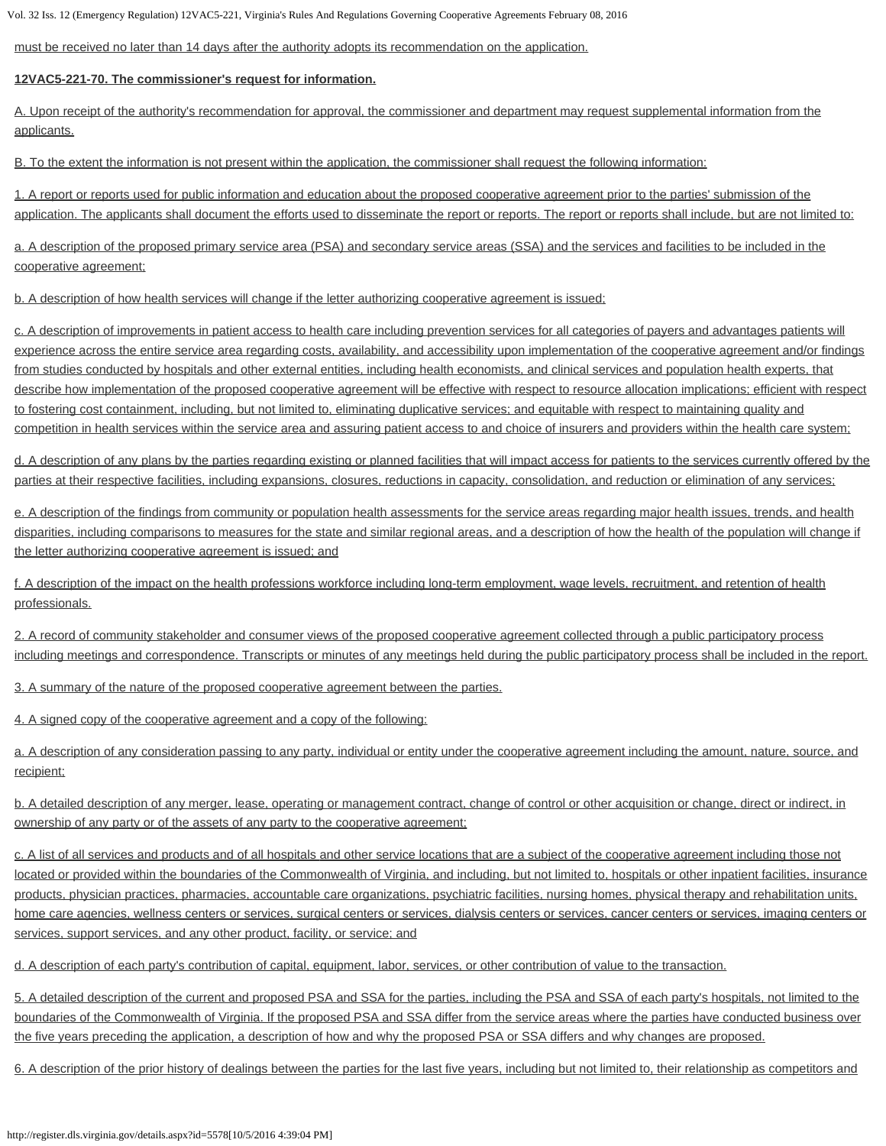must be received no later than 14 days after the authority adopts its recommendation on the application.

## **12VAC5-221-70. The commissioner's request for information.**

A. Upon receipt of the authority's recommendation for approval, the commissioner and department may request supplemental information from the applicants.

B. To the extent the information is not present within the application, the commissioner shall request the following information:

1. A report or reports used for public information and education about the proposed cooperative agreement prior to the parties' submission of the application. The applicants shall document the efforts used to disseminate the report or reports. The report or reports shall include, but are not limited to:

a. A description of the proposed primary service area (PSA) and secondary service areas (SSA) and the services and facilities to be included in the cooperative agreement;

b. A description of how health services will change if the letter authorizing cooperative agreement is issued;

c. A description of improvements in patient access to health care including prevention services for all categories of payers and advantages patients will experience across the entire service area regarding costs, availability, and accessibility upon implementation of the cooperative agreement and/or findings from studies conducted by hospitals and other external entities, including health economists, and clinical services and population health experts, that describe how implementation of the proposed cooperative agreement will be effective with respect to resource allocation implications; efficient with respect to fostering cost containment, including, but not limited to, eliminating duplicative services; and equitable with respect to maintaining quality and competition in health services within the service area and assuring patient access to and choice of insurers and providers within the health care system;

d. A description of any plans by the parties regarding existing or planned facilities that will impact access for patients to the services currently offered by the parties at their respective facilities, including expansions, closures, reductions in capacity, consolidation, and reduction or elimination of any services;

e. A description of the findings from community or population health assessments for the service areas regarding major health issues, trends, and health disparities, including comparisons to measures for the state and similar regional areas, and a description of how the health of the population will change if the letter authorizing cooperative agreement is issued; and

f. A description of the impact on the health professions workforce including long-term employment, wage levels, recruitment, and retention of health professionals.

2. A record of community stakeholder and consumer views of the proposed cooperative agreement collected through a public participatory process including meetings and correspondence. Transcripts or minutes of any meetings held during the public participatory process shall be included in the report.

3. A summary of the nature of the proposed cooperative agreement between the parties.

4. A signed copy of the cooperative agreement and a copy of the following:

a. A description of any consideration passing to any party, individual or entity under the cooperative agreement including the amount, nature, source, and recipient;

b. A detailed description of any merger, lease, operating or management contract, change of control or other acquisition or change, direct or indirect, in ownership of any party or of the assets of any party to the cooperative agreement;

c. A list of all services and products and of all hospitals and other service locations that are a subject of the cooperative agreement including those not located or provided within the boundaries of the Commonwealth of Virginia, and including, but not limited to, hospitals or other inpatient facilities, insurance products, physician practices, pharmacies, accountable care organizations, psychiatric facilities, nursing homes, physical therapy and rehabilitation units, home care agencies, wellness centers or services, surgical centers or services, dialysis centers or services, cancer centers or services, imaging centers or services, support services, and any other product, facility, or service; and

d. A description of each party's contribution of capital, equipment, labor, services, or other contribution of value to the transaction.

5. A detailed description of the current and proposed PSA and SSA for the parties, including the PSA and SSA of each party's hospitals, not limited to the boundaries of the Commonwealth of Virginia. If the proposed PSA and SSA differ from the service areas where the parties have conducted business over the five years preceding the application, a description of how and why the proposed PSA or SSA differs and why changes are proposed.

6. A description of the prior history of dealings between the parties for the last five years, including but not limited to, their relationship as competitors and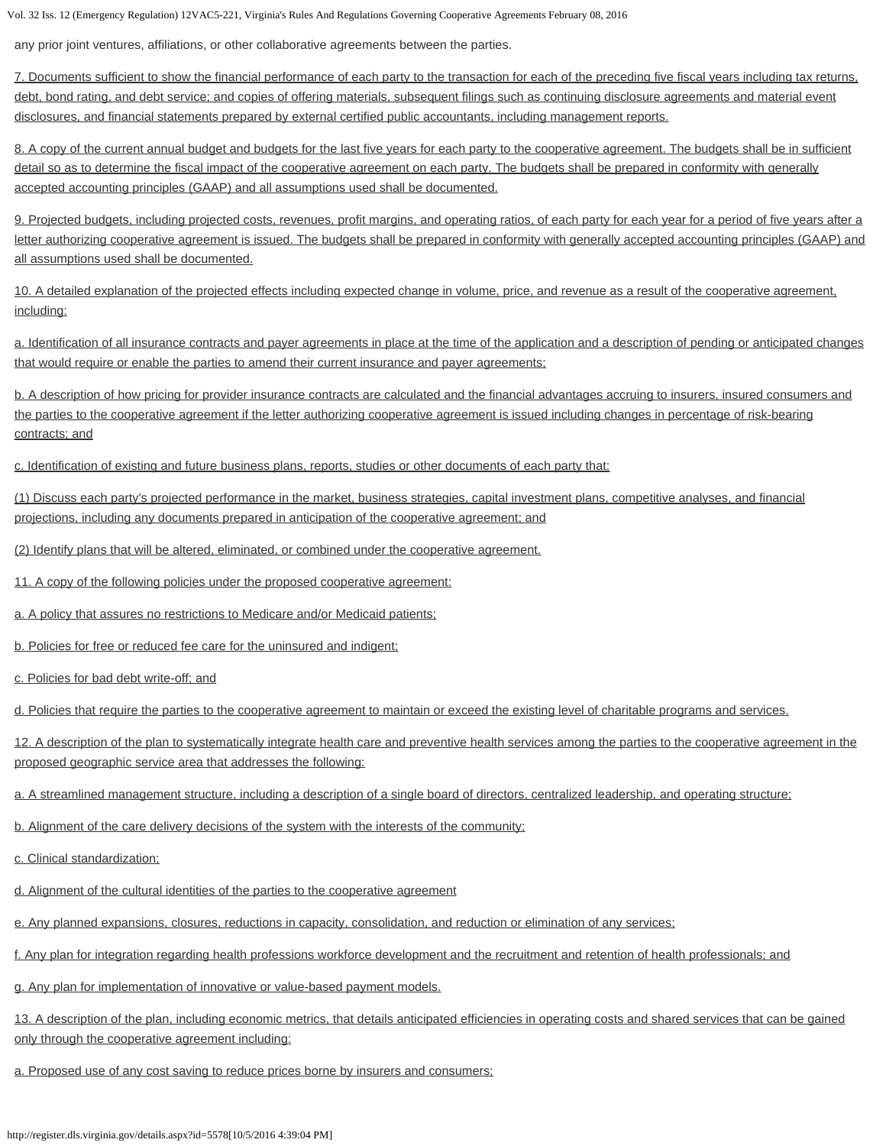any prior joint ventures, affiliations, or other collaborative agreements between the parties.

7. Documents sufficient to show the financial performance of each party to the transaction for each of the preceding five fiscal years including tax returns, debt, bond rating, and debt service; and copies of offering materials, subsequent filings such as continuing disclosure agreements and material event disclosures, and financial statements prepared by external certified public accountants, including management reports.

8. A copy of the current annual budget and budgets for the last five years for each party to the cooperative agreement. The budgets shall be in sufficient detail so as to determine the fiscal impact of the cooperative agreement on each party. The budgets shall be prepared in conformity with generally accepted accounting principles (GAAP) and all assumptions used shall be documented.

9. Projected budgets, including projected costs, revenues, profit margins, and operating ratios, of each party for each year for a period of five years after a letter authorizing cooperative agreement is issued. The budgets shall be prepared in conformity with generally accepted accounting principles (GAAP) and all assumptions used shall be documented.

10. A detailed explanation of the projected effects including expected change in volume, price, and revenue as a result of the cooperative agreement, including:

a. Identification of all insurance contracts and payer agreements in place at the time of the application and a description of pending or anticipated changes that would require or enable the parties to amend their current insurance and payer agreements;

b. A description of how pricing for provider insurance contracts are calculated and the financial advantages accruing to insurers, insured consumers and the parties to the cooperative agreement if the letter authorizing cooperative agreement is issued including changes in percentage of risk-bearing contracts; and

c. Identification of existing and future business plans, reports, studies or other documents of each party that:

(1) Discuss each party's projected performance in the market, business strategies, capital investment plans, competitive analyses, and financial projections, including any documents prepared in anticipation of the cooperative agreement; and

(2) Identify plans that will be altered, eliminated, or combined under the cooperative agreement.

11. A copy of the following policies under the proposed cooperative agreement:

a. A policy that assures no restrictions to Medicare and/or Medicaid patients;

b. Policies for free or reduced fee care for the uninsured and indigent;

c. Policies for bad debt write-off; and

d. Policies that require the parties to the cooperative agreement to maintain or exceed the existing level of charitable programs and services.

12. A description of the plan to systematically integrate health care and preventive health services among the parties to the cooperative agreement in the proposed geographic service area that addresses the following:

a. A streamlined management structure, including a description of a single board of directors, centralized leadership, and operating structure;

b. Alignment of the care delivery decisions of the system with the interests of the community;

c. Clinical standardization;

d. Alignment of the cultural identities of the parties to the cooperative agreement

e. Any planned expansions, closures, reductions in capacity, consolidation, and reduction or elimination of any services;

f. Any plan for integration regarding health professions workforce development and the recruitment and retention of health professionals; and

g. Any plan for implementation of innovative or value-based payment models.

13. A description of the plan, including economic metrics, that details anticipated efficiencies in operating costs and shared services that can be gained only through the cooperative agreement including:

a. Proposed use of any cost saving to reduce prices borne by insurers and consumers;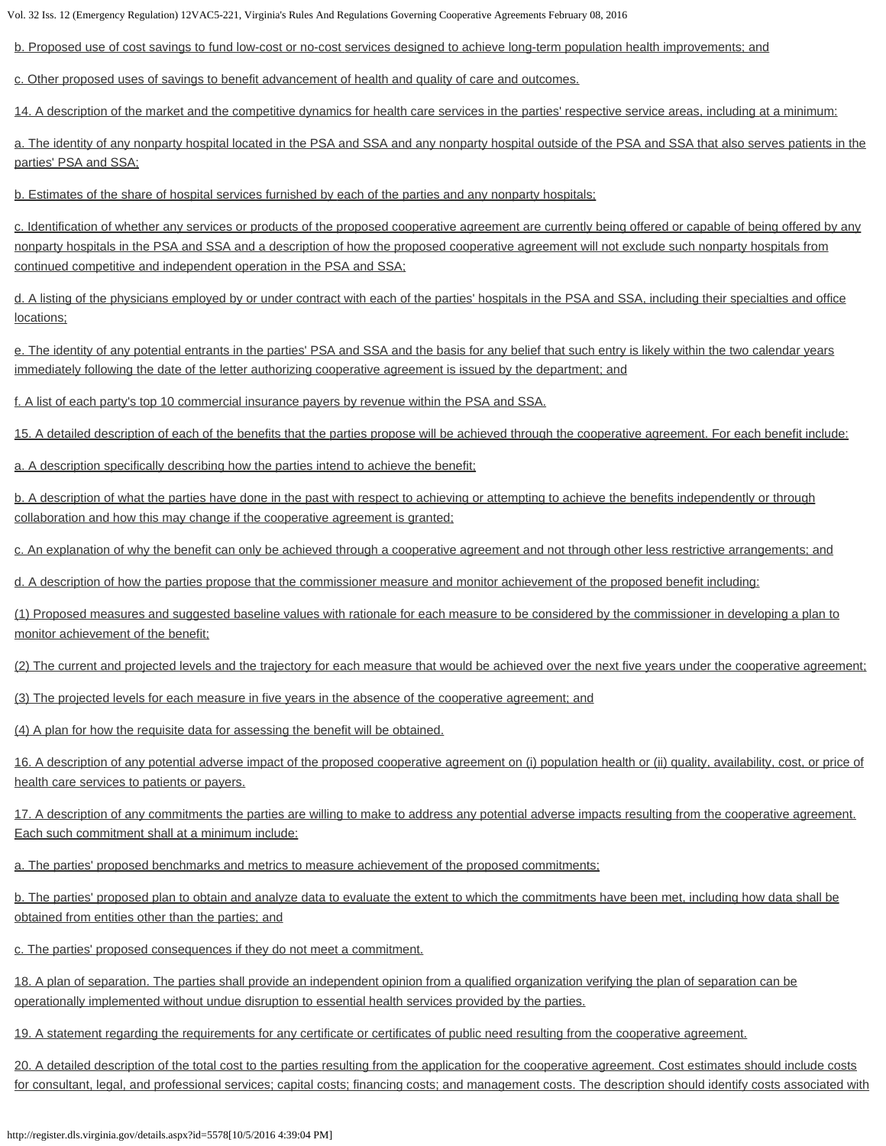b. Proposed use of cost savings to fund low-cost or no-cost services designed to achieve long-term population health improvements; and

c. Other proposed uses of savings to benefit advancement of health and quality of care and outcomes.

14. A description of the market and the competitive dynamics for health care services in the parties' respective service areas, including at a minimum:

a. The identity of any nonparty hospital located in the PSA and SSA and any nonparty hospital outside of the PSA and SSA that also serves patients in the parties' PSA and SSA;

b. Estimates of the share of hospital services furnished by each of the parties and any nonparty hospitals;

c. Identification of whether any services or products of the proposed cooperative agreement are currently being offered or capable of being offered by any nonparty hospitals in the PSA and SSA and a description of how the proposed cooperative agreement will not exclude such nonparty hospitals from continued competitive and independent operation in the PSA and SSA;

d. A listing of the physicians employed by or under contract with each of the parties' hospitals in the PSA and SSA, including their specialties and office locations;

e. The identity of any potential entrants in the parties' PSA and SSA and the basis for any belief that such entry is likely within the two calendar years immediately following the date of the letter authorizing cooperative agreement is issued by the department; and

f. A list of each party's top 10 commercial insurance payers by revenue within the PSA and SSA.

15. A detailed description of each of the benefits that the parties propose will be achieved through the cooperative agreement. For each benefit include:

a. A description specifically describing how the parties intend to achieve the benefit;

b. A description of what the parties have done in the past with respect to achieving or attempting to achieve the benefits independently or through collaboration and how this may change if the cooperative agreement is granted;

c. An explanation of why the benefit can only be achieved through a cooperative agreement and not through other less restrictive arrangements; and

d. A description of how the parties propose that the commissioner measure and monitor achievement of the proposed benefit including:

(1) Proposed measures and suggested baseline values with rationale for each measure to be considered by the commissioner in developing a plan to monitor achievement of the benefit;

(2) The current and projected levels and the trajectory for each measure that would be achieved over the next five years under the cooperative agreement;

(3) The projected levels for each measure in five years in the absence of the cooperative agreement; and

(4) A plan for how the requisite data for assessing the benefit will be obtained.

16. A description of any potential adverse impact of the proposed cooperative agreement on (i) population health or (ii) quality, availability, cost, or price of health care services to patients or payers.

17. A description of any commitments the parties are willing to make to address any potential adverse impacts resulting from the cooperative agreement. Each such commitment shall at a minimum include:

a. The parties' proposed benchmarks and metrics to measure achievement of the proposed commitments;

b. The parties' proposed plan to obtain and analyze data to evaluate the extent to which the commitments have been met, including how data shall be obtained from entities other than the parties; and

c. The parties' proposed consequences if they do not meet a commitment.

18. A plan of separation. The parties shall provide an independent opinion from a qualified organization verifying the plan of separation can be operationally implemented without undue disruption to essential health services provided by the parties.

19. A statement regarding the requirements for any certificate or certificates of public need resulting from the cooperative agreement.

20. A detailed description of the total cost to the parties resulting from the application for the cooperative agreement. Cost estimates should include costs for consultant, legal, and professional services; capital costs; financing costs; and management costs. The description should identify costs associated with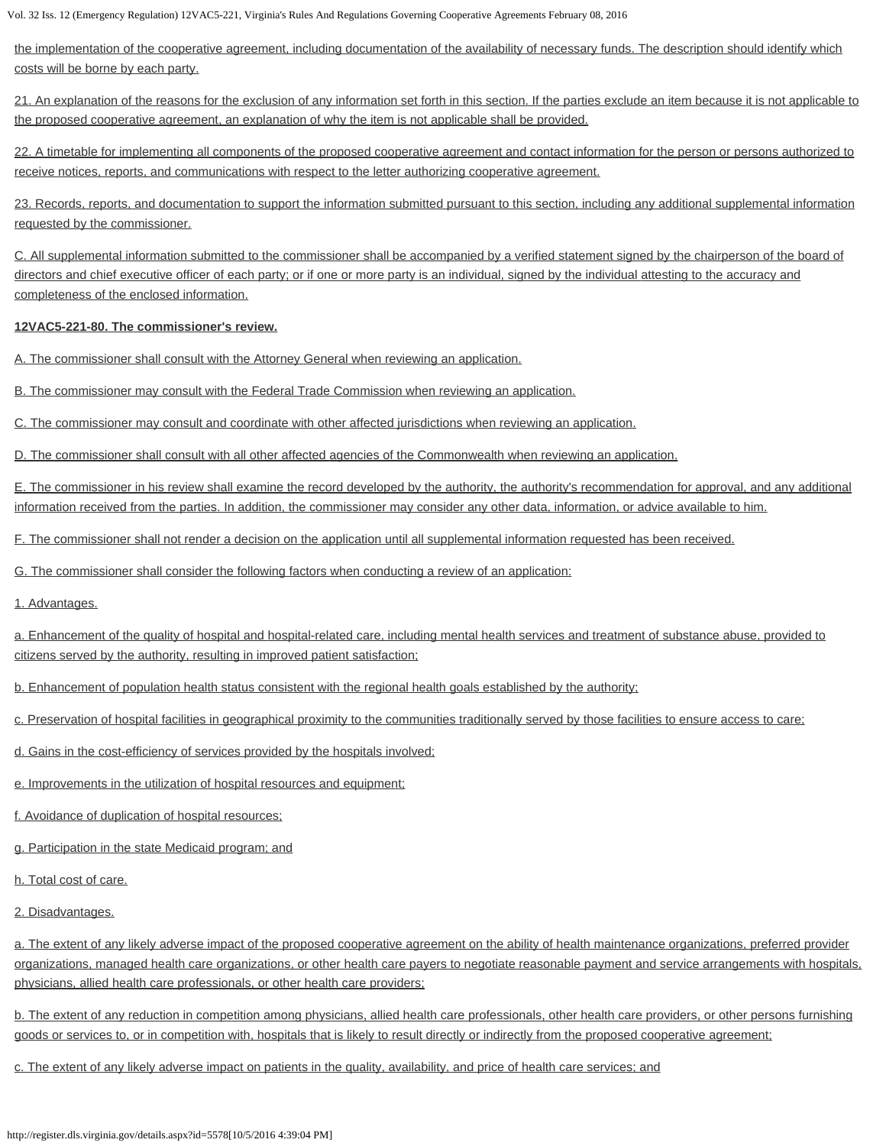the implementation of the cooperative agreement, including documentation of the availability of necessary funds. The description should identify which costs will be borne by each party.

21. An explanation of the reasons for the exclusion of any information set forth in this section. If the parties exclude an item because it is not applicable to the proposed cooperative agreement, an explanation of why the item is not applicable shall be provided.

22. A timetable for implementing all components of the proposed cooperative agreement and contact information for the person or persons authorized to receive notices, reports, and communications with respect to the letter authorizing cooperative agreement.

23. Records, reports, and documentation to support the information submitted pursuant to this section, including any additional supplemental information requested by the commissioner.

C. All supplemental information submitted to the commissioner shall be accompanied by a verified statement signed by the chairperson of the board of directors and chief executive officer of each party; or if one or more party is an individual, signed by the individual attesting to the accuracy and completeness of the enclosed information.

## **12VAC5-221-80. The commissioner's review.**

A. The commissioner shall consult with the Attorney General when reviewing an application.

B. The commissioner may consult with the Federal Trade Commission when reviewing an application.

C. The commissioner may consult and coordinate with other affected jurisdictions when reviewing an application.

D. The commissioner shall consult with all other affected agencies of the Commonwealth when reviewing an application.

E. The commissioner in his review shall examine the record developed by the authority, the authority's recommendation for approval, and any additional information received from the parties. In addition, the commissioner may consider any other data, information, or advice available to him.

F. The commissioner shall not render a decision on the application until all supplemental information requested has been received.

G. The commissioner shall consider the following factors when conducting a review of an application:

1. Advantages.

a. Enhancement of the quality of hospital and hospital-related care, including mental health services and treatment of substance abuse, provided to citizens served by the authority, resulting in improved patient satisfaction;

b. Enhancement of population health status consistent with the regional health goals established by the authority;

c. Preservation of hospital facilities in geographical proximity to the communities traditionally served by those facilities to ensure access to care;

d. Gains in the cost-efficiency of services provided by the hospitals involved;

e. Improvements in the utilization of hospital resources and equipment;

f. Avoidance of duplication of hospital resources;

g. Participation in the state Medicaid program; and

h. Total cost of care.

2. Disadvantages.

a. The extent of any likely adverse impact of the proposed cooperative agreement on the ability of health maintenance organizations, preferred provider organizations, managed health care organizations, or other health care payers to negotiate reasonable payment and service arrangements with hospitals, physicians, allied health care professionals, or other health care providers;

b. The extent of any reduction in competition among physicians, allied health care professionals, other health care providers, or other persons furnishing goods or services to, or in competition with, hospitals that is likely to result directly or indirectly from the proposed cooperative agreement;

c. The extent of any likely adverse impact on patients in the quality, availability, and price of health care services; and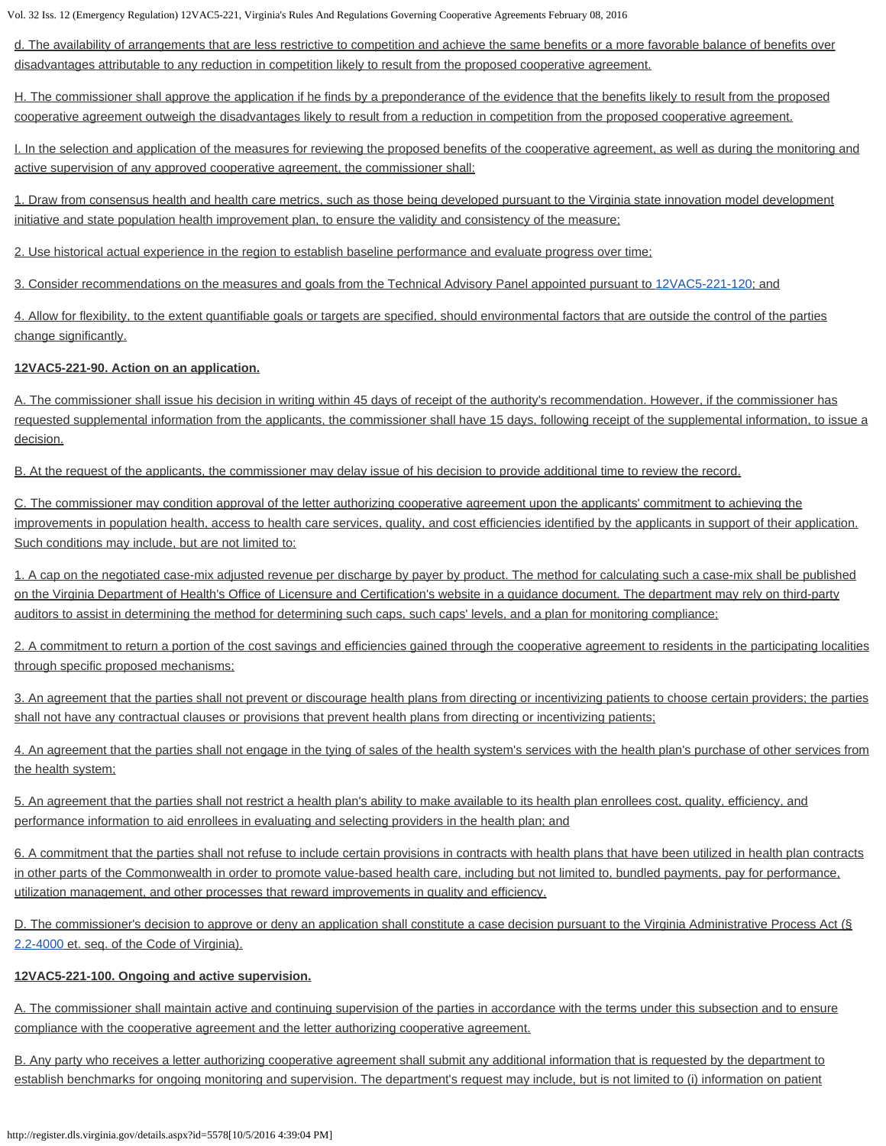d. The availability of arrangements that are less restrictive to competition and achieve the same benefits or a more favorable balance of benefits over disadvantages attributable to any reduction in competition likely to result from the proposed cooperative agreement.

H. The commissioner shall approve the application if he finds by a preponderance of the evidence that the benefits likely to result from the proposed cooperative agreement outweigh the disadvantages likely to result from a reduction in competition from the proposed cooperative agreement.

I. In the selection and application of the measures for reviewing the proposed benefits of the cooperative agreement, as well as during the monitoring and active supervision of any approved cooperative agreement, the commissioner shall:

1. Draw from consensus health and health care metrics, such as those being developed pursuant to the Virginia state innovation model development initiative and state population health improvement plan, to ensure the validity and consistency of the measure;

2. Use historical actual experience in the region to establish baseline performance and evaluate progress over time;

3. Consider recommendations on the measures and goals from the Technical Advisory Panel appointed pursuant to [12VAC5-221-120;](http://law.lis.virginia.gov/admincode/title12/agency5/chapter221/section120/) and

4. Allow for flexibility, to the extent quantifiable goals or targets are specified, should environmental factors that are outside the control of the parties change significantly.

#### **12VAC5-221-90. Action on an application.**

A. The commissioner shall issue his decision in writing within 45 days of receipt of the authority's recommendation. However, if the commissioner has requested supplemental information from the applicants, the commissioner shall have 15 days, following receipt of the supplemental information, to issue a decision.

B. At the request of the applicants, the commissioner may delay issue of his decision to provide additional time to review the record.

C. The commissioner may condition approval of the letter authorizing cooperative agreement upon the applicants' commitment to achieving the improvements in population health, access to health care services, quality, and cost efficiencies identified by the applicants in support of their application. Such conditions may include, but are not limited to:

1. A cap on the negotiated case-mix adjusted revenue per discharge by payer by product. The method for calculating such a case-mix shall be published on the Virginia Department of Health's Office of Licensure and Certification's website in a guidance document. The department may rely on third-party auditors to assist in determining the method for determining such caps, such caps' levels, and a plan for monitoring compliance;

2. A commitment to return a portion of the cost savings and efficiencies gained through the cooperative agreement to residents in the participating localities through specific proposed mechanisms;

3. An agreement that the parties shall not prevent or discourage health plans from directing or incentivizing patients to choose certain providers; the parties shall not have any contractual clauses or provisions that prevent health plans from directing or incentivizing patients;

4. An agreement that the parties shall not engage in the tying of sales of the health system's services with the health plan's purchase of other services from the health system;

5. An agreement that the parties shall not restrict a health plan's ability to make available to its health plan enrollees cost, quality, efficiency, and performance information to aid enrollees in evaluating and selecting providers in the health plan; and

6. A commitment that the parties shall not refuse to include certain provisions in contracts with health plans that have been utilized in health plan contracts in other parts of the Commonwealth in order to promote value-based health care, including but not limited to, bundled payments, pay for performance, utilization management, and other processes that reward improvements in quality and efficiency.

D. The commissioner's decision to approve or deny an application shall constitute a case decision pursuant to the Virginia Administrative Process Act (§ [2.2-4000](http://law.lis.virginia.gov/vacode/2.2-4000/) et. seq. of the Code of Virginia).

## **12VAC5-221-100. Ongoing and active supervision.**

A. The commissioner shall maintain active and continuing supervision of the parties in accordance with the terms under this subsection and to ensure compliance with the cooperative agreement and the letter authorizing cooperative agreement.

B. Any party who receives a letter authorizing cooperative agreement shall submit any additional information that is requested by the department to establish benchmarks for ongoing monitoring and supervision. The department's request may include, but is not limited to (i) information on patient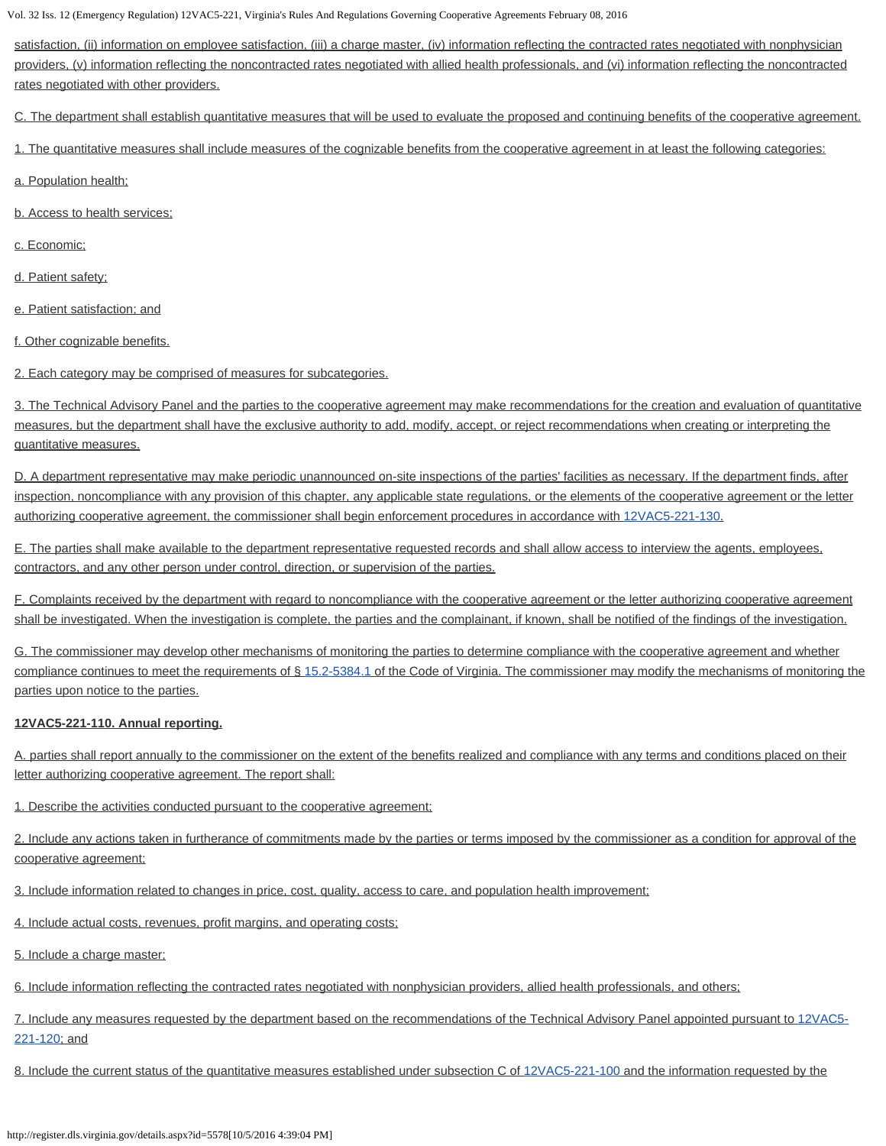satisfaction, (ii) information on employee satisfaction, (iii) a charge master, (iv) information reflecting the contracted rates negotiated with nonphysician providers, (v) information reflecting the noncontracted rates negotiated with allied health professionals, and (vi) information reflecting the noncontracted rates negotiated with other providers.

C. The department shall establish quantitative measures that will be used to evaluate the proposed and continuing benefits of the cooperative agreement.

1. The quantitative measures shall include measures of the cognizable benefits from the cooperative agreement in at least the following categories:

- a. Population health;
- b. Access to health services;
- c. Economic;
- d. Patient safety;
- e. Patient satisfaction; and
- f. Other cognizable benefits.
- 2. Each category may be comprised of measures for subcategories.

3. The Technical Advisory Panel and the parties to the cooperative agreement may make recommendations for the creation and evaluation of quantitative measures, but the department shall have the exclusive authority to add, modify, accept, or reject recommendations when creating or interpreting the quantitative measures.

D. A department representative may make periodic unannounced on-site inspections of the parties' facilities as necessary. If the department finds, after inspection, noncompliance with any provision of this chapter, any applicable state regulations, or the elements of the cooperative agreement or the letter authorizing cooperative agreement, the commissioner shall begin enforcement procedures in accordance with [12VAC5-221-130.](http://law.lis.virginia.gov/admincode/title12/agency5/chapter221/section130/)

E. The parties shall make available to the department representative requested records and shall allow access to interview the agents, employees, contractors, and any other person under control, direction, or supervision of the parties.

F. Complaints received by the department with regard to noncompliance with the cooperative agreement or the letter authorizing cooperative agreement shall be investigated. When the investigation is complete, the parties and the complainant, if known, shall be notified of the findings of the investigation.

G. The commissioner may develop other mechanisms of monitoring the parties to determine compliance with the cooperative agreement and whether compliance continues to meet the requirements of § [15.2-5384.1](http://law.lis.virginia.gov/vacode/15.2-5384.1/) of the Code of Virginia. The commissioner may modify the mechanisms of monitoring the parties upon notice to the parties.

# **12VAC5-221-110. Annual reporting.**

A. parties shall report annually to the commissioner on the extent of the benefits realized and compliance with any terms and conditions placed on their letter authorizing cooperative agreement. The report shall:

1. Describe the activities conducted pursuant to the cooperative agreement;

2. Include any actions taken in furtherance of commitments made by the parties or terms imposed by the commissioner as a condition for approval of the cooperative agreement;

3. Include information related to changes in price, cost, quality, access to care, and population health improvement;

4. Include actual costs, revenues, profit margins, and operating costs;

5. Include a charge master;

6. Include information reflecting the contracted rates negotiated with nonphysician providers, allied health professionals, and others;

7. Include any measures requested by the department based on the recommendations of the Technical Advisory Panel appointed pursuant to [12VAC5-](http://law.lis.virginia.gov/admincode/title12/agency5/chapter221/section120/) [221-120](http://law.lis.virginia.gov/admincode/title12/agency5/chapter221/section120/); and

8. Include the current status of the quantitative measures established under subsection C of [12VAC5-221-100](http://law.lis.virginia.gov/admincode/title12/agency5/chapter221/section100/) and the information requested by the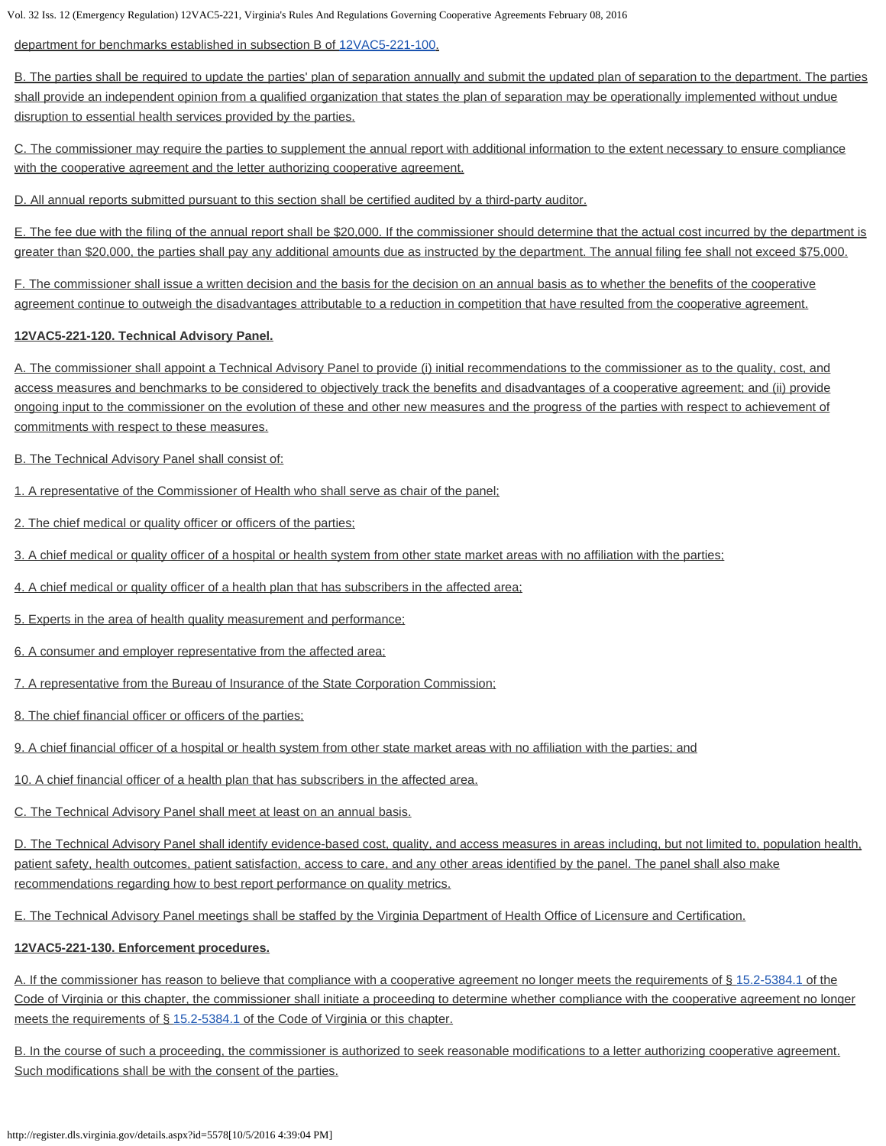department for benchmarks established in subsection B of [12VAC5-221-100](http://law.lis.virginia.gov/admincode/title12/agency5/chapter221/section100/).

B. The parties shall be required to update the parties' plan of separation annually and submit the updated plan of separation to the department. The parties shall provide an independent opinion from a qualified organization that states the plan of separation may be operationally implemented without undue disruption to essential health services provided by the parties.

C. The commissioner may require the parties to supplement the annual report with additional information to the extent necessary to ensure compliance with the cooperative agreement and the letter authorizing cooperative agreement.

D. All annual reports submitted pursuant to this section shall be certified audited by a third-party auditor.

E. The fee due with the filing of the annual report shall be \$20,000. If the commissioner should determine that the actual cost incurred by the department is greater than \$20,000, the parties shall pay any additional amounts due as instructed by the department. The annual filing fee shall not exceed \$75,000.

F. The commissioner shall issue a written decision and the basis for the decision on an annual basis as to whether the benefits of the cooperative agreement continue to outweigh the disadvantages attributable to a reduction in competition that have resulted from the cooperative agreement.

# **12VAC5-221-120. Technical Advisory Panel.**

A. The commissioner shall appoint a Technical Advisory Panel to provide (i) initial recommendations to the commissioner as to the quality, cost, and access measures and benchmarks to be considered to objectively track the benefits and disadvantages of a cooperative agreement; and (ii) provide ongoing input to the commissioner on the evolution of these and other new measures and the progress of the parties with respect to achievement of commitments with respect to these measures.

B. The Technical Advisory Panel shall consist of:

1. A representative of the Commissioner of Health who shall serve as chair of the panel;

2. The chief medical or quality officer or officers of the parties;

3. A chief medical or quality officer of a hospital or health system from other state market areas with no affiliation with the parties;

4. A chief medical or quality officer of a health plan that has subscribers in the affected area;

5. Experts in the area of health quality measurement and performance;

6. A consumer and employer representative from the affected area;

7. A representative from the Bureau of Insurance of the State Corporation Commission;

8. The chief financial officer or officers of the parties;

9. A chief financial officer of a hospital or health system from other state market areas with no affiliation with the parties; and

10. A chief financial officer of a health plan that has subscribers in the affected area.

C. The Technical Advisory Panel shall meet at least on an annual basis.

D. The Technical Advisory Panel shall identify evidence-based cost, quality, and access measures in areas including, but not limited to, population health, patient safety, health outcomes, patient satisfaction, access to care, and any other areas identified by the panel. The panel shall also make recommendations regarding how to best report performance on quality metrics.

E. The Technical Advisory Panel meetings shall be staffed by the Virginia Department of Health Office of Licensure and Certification.

# **12VAC5-221-130. Enforcement procedures.**

A. If the commissioner has reason to believe that compliance with a cooperative agreement no longer meets the requirements of § [15.2-5384.1](http://law.lis.virginia.gov/vacode/15.2-5384.1/) of the Code of Virginia or this chapter, the commissioner shall initiate a proceeding to determine whether compliance with the cooperative agreement no longer meets the requirements of § [15.2-5384.1](http://law.lis.virginia.gov/vacode/15.2-5384.1/) of the Code of Virginia or this chapter.

B. In the course of such a proceeding, the commissioner is authorized to seek reasonable modifications to a letter authorizing cooperative agreement. Such modifications shall be with the consent of the parties.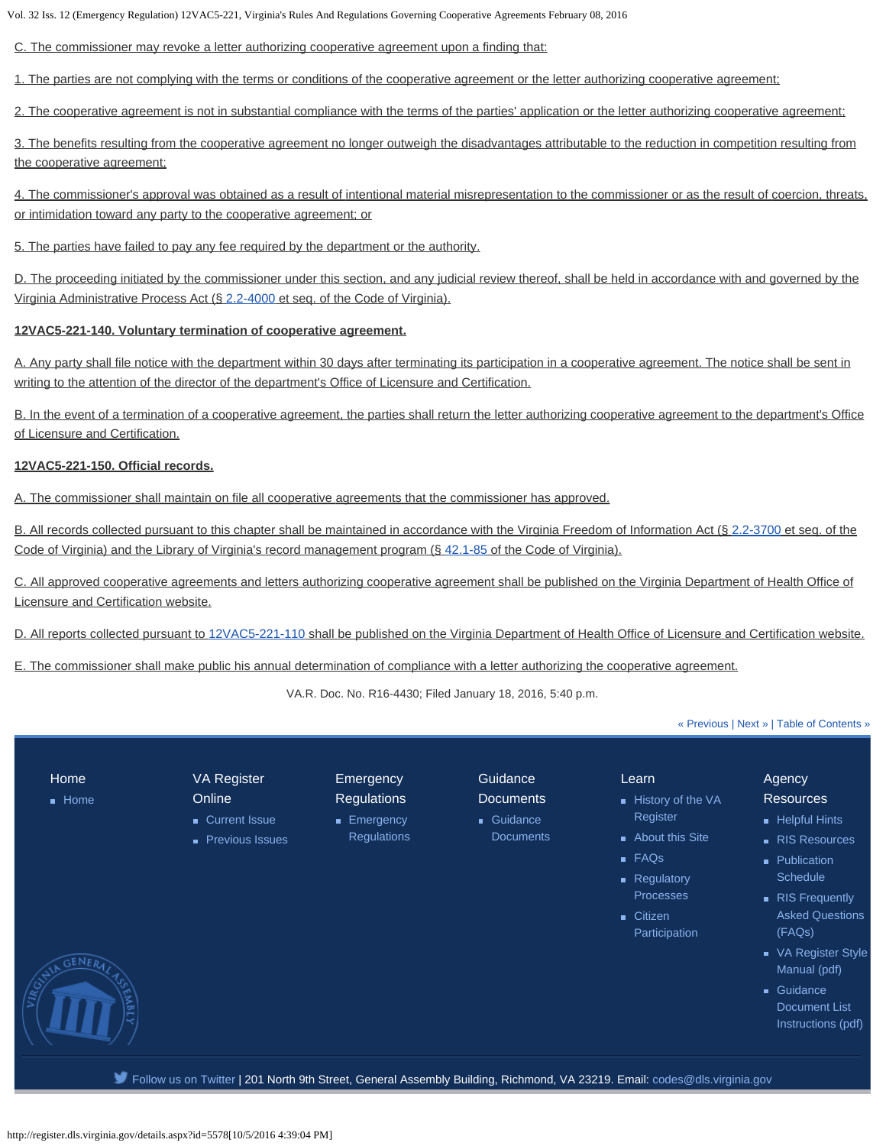C. The commissioner may revoke a letter authorizing cooperative agreement upon a finding that:

1. The parties are not complying with the terms or conditions of the cooperative agreement or the letter authorizing cooperative agreement;

2. The cooperative agreement is not in substantial compliance with the terms of the parties' application or the letter authorizing cooperative agreement;

3. The benefits resulting from the cooperative agreement no longer outweigh the disadvantages attributable to the reduction in competition resulting from the cooperative agreement;

4. The commissioner's approval was obtained as a result of intentional material misrepresentation to the commissioner or as the result of coercion, threats, or intimidation toward any party to the cooperative agreement; or

5. The parties have failed to pay any fee required by the department or the authority.

D. The proceeding initiated by the commissioner under this section, and any judicial review thereof, shall be held in accordance with and governed by the Virginia Administrative Process Act (§ [2.2-4000](http://law.lis.virginia.gov/vacode/2.2-4000/) et seq. of the Code of Virginia).

## **12VAC5-221-140. Voluntary termination of cooperative agreement.**

A. Any party shall file notice with the department within 30 days after terminating its participation in a cooperative agreement. The notice shall be sent in writing to the attention of the director of the department's Office of Licensure and Certification.

B. In the event of a termination of a cooperative agreement, the parties shall return the letter authorizing cooperative agreement to the department's Office of Licensure and Certification.

#### **12VAC5-221-150. Official records.**

A. The commissioner shall maintain on file all cooperative agreements that the commissioner has approved.

B. All records collected pursuant to this chapter shall be maintained in accordance with the Virginia Freedom of Information Act (§ [2.2-3700](http://law.lis.virginia.gov/vacode/2.2-3700/) et seq. of the Code of Virginia) and the Library of Virginia's record management program (§ [42.1-85](http://law.lis.virginia.gov/vacode/42.1-85/) of the Code of Virginia).

C. All approved cooperative agreements and letters authorizing cooperative agreement shall be published on the Virginia Department of Health Office of Licensure and Certification website.

D. All reports collected pursuant to [12VAC5-221-110](http://law.lis.virginia.gov/admincode/title12/agency5/chapter221/section110/) shall be published on the Virginia Department of Health Office of Licensure and Certification website.

E. The commissioner shall make public his annual determination of compliance with a letter authorizing the cooperative agreement.

VA.R. Doc. No. R16-4430; Filed January 18, 2016, 5:40 p.m.

#### [« Previous](http://register.dls.virginia.gov/details.aspx?id=5577) | [Next »](http://register.dls.virginia.gov/details.aspx?id=5583) | [Table of Contents »](http://register.dls.virginia.gov/toc.aspx?voliss=32:12)